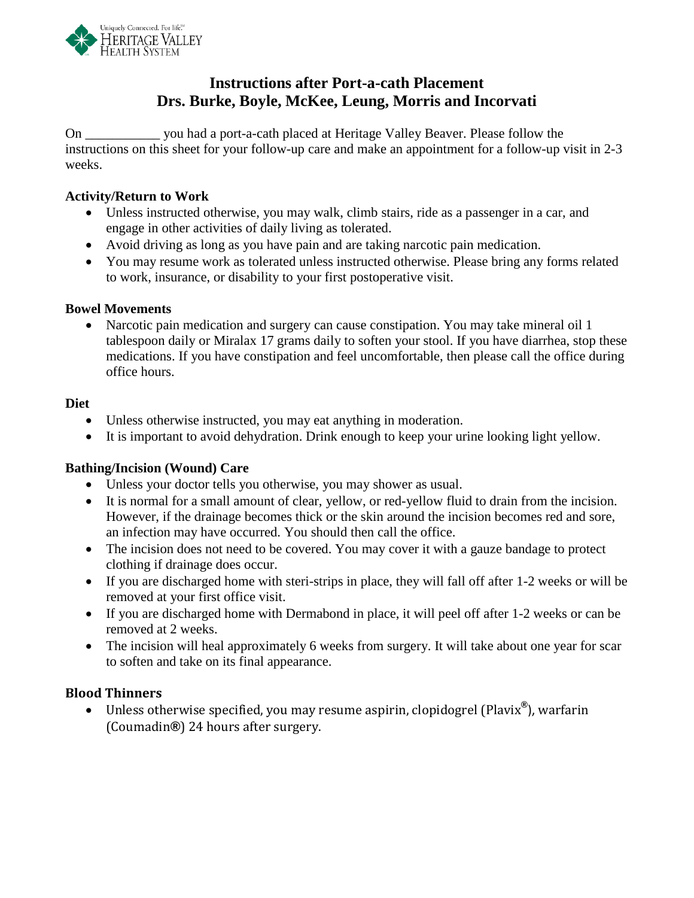

# **Instructions after Port-a-cath Placement Drs. Burke, Boyle, McKee, Leung, Morris and Incorvati**

On \_\_\_\_\_\_\_\_\_\_\_ you had a port-a-cath placed at Heritage Valley Beaver. Please follow the instructions on this sheet for your follow-up care and make an appointment for a follow-up visit in 2-3 weeks.

### **Activity/Return to Work**

- Unless instructed otherwise, you may walk, climb stairs, ride as a passenger in a car, and engage in other activities of daily living as tolerated.
- Avoid driving as long as you have pain and are taking narcotic pain medication.
- You may resume work as tolerated unless instructed otherwise. Please bring any forms related to work, insurance, or disability to your first postoperative visit.

#### **Bowel Movements**

• Narcotic pain medication and surgery can cause constipation. You may take mineral oil 1 tablespoon daily or Miralax 17 grams daily to soften your stool. If you have diarrhea, stop these medications. If you have constipation and feel uncomfortable, then please call the office during office hours.

#### **Diet**

- Unless otherwise instructed, you may eat anything in moderation.
- It is important to avoid dehydration. Drink enough to keep your urine looking light yellow.

#### **Bathing/Incision (Wound) Care**

- Unless your doctor tells you otherwise, you may shower as usual.
- It is normal for a small amount of clear, yellow, or red-yellow fluid to drain from the incision. However, if the drainage becomes thick or the skin around the incision becomes red and sore, an infection may have occurred. You should then call the office.
- The incision does not need to be covered. You may cover it with a gauze bandage to protect clothing if drainage does occur.
- If you are discharged home with steri-strips in place, they will fall off after 1-2 weeks or will be removed at your first office visit.
- If you are discharged home with Dermabond in place, it will peel off after 1-2 weeks or can be removed at 2 weeks.
- The incision will heal approximately 6 weeks from surgery. It will take about one year for scar to soften and take on its final appearance.

### **Blood Thinners**

• Unless otherwise specified, you may resume aspirin, clopidogrel (Plavix**®**), warfarin (Coumadin**®**) 24 hours after surgery.